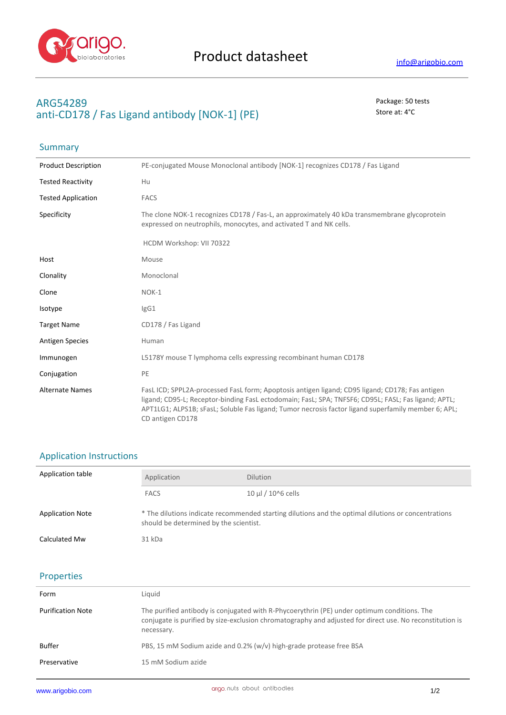

Summary

## **ARG54289** Package: 50 tests anti-CD178 / Fas Ligand antibody [NOK-1] (PE) Store at: 4°C

| <b>Product Description</b> | PE-conjugated Mouse Monoclonal antibody [NOK-1] recognizes CD178 / Fas Ligand                                                                                                                                                                                                                                                     |
|----------------------------|-----------------------------------------------------------------------------------------------------------------------------------------------------------------------------------------------------------------------------------------------------------------------------------------------------------------------------------|
| <b>Tested Reactivity</b>   | Hu                                                                                                                                                                                                                                                                                                                                |
| <b>Tested Application</b>  | <b>FACS</b>                                                                                                                                                                                                                                                                                                                       |
| Specificity                | The clone NOK-1 recognizes CD178 / Fas-L, an approximately 40 kDa transmembrane glycoprotein<br>expressed on neutrophils, monocytes, and activated T and NK cells.                                                                                                                                                                |
|                            | HCDM Workshop: VII 70322                                                                                                                                                                                                                                                                                                          |
| Host                       | Mouse                                                                                                                                                                                                                                                                                                                             |
| Clonality                  | Monoclonal                                                                                                                                                                                                                                                                                                                        |
| Clone                      | NOK-1                                                                                                                                                                                                                                                                                                                             |
| Isotype                    | IgG1                                                                                                                                                                                                                                                                                                                              |
| <b>Target Name</b>         | CD178 / Fas Ligand                                                                                                                                                                                                                                                                                                                |
| <b>Antigen Species</b>     | Human                                                                                                                                                                                                                                                                                                                             |
| Immunogen                  | L5178Y mouse T lymphoma cells expressing recombinant human CD178                                                                                                                                                                                                                                                                  |
| Conjugation                | PE                                                                                                                                                                                                                                                                                                                                |
| <b>Alternate Names</b>     | FasL ICD; SPPL2A-processed FasL form; Apoptosis antigen ligand; CD95 ligand; CD178; Fas antigen<br>ligand; CD95-L; Receptor-binding FasL ectodomain; FasL; SPA; TNFSF6; CD95L; FASL; Fas ligand; APTL;<br>APT1LG1; ALPS1B; sFasL; Soluble Fas ligand; Tumor necrosis factor ligand superfamily member 6; APL;<br>CD antigen CD178 |

#### Application Instructions

| Application table       | Application                                                                                                                                   | <b>Dilution</b>      |
|-------------------------|-----------------------------------------------------------------------------------------------------------------------------------------------|----------------------|
|                         | <b>FACS</b>                                                                                                                                   | 10 µl $/$ 10^6 cells |
| <b>Application Note</b> | * The dilutions indicate recommended starting dilutions and the optimal dilutions or concentrations<br>should be determined by the scientist. |                      |
| Calculated Mw           | 31 kDa                                                                                                                                        |                      |

# Properties

| Form                     | Liquid                                                                                                                                                                                                                |
|--------------------------|-----------------------------------------------------------------------------------------------------------------------------------------------------------------------------------------------------------------------|
| <b>Purification Note</b> | The purified antibody is conjugated with R-Phycoerythrin (PE) under optimum conditions. The<br>conjugate is purified by size-exclusion chromatography and adjusted for direct use. No reconstitution is<br>necessary. |
| Buffer                   | PBS, 15 mM Sodium azide and 0.2% (w/v) high-grade protease free BSA                                                                                                                                                   |
| Preservative             | 15 mM Sodium azide                                                                                                                                                                                                    |